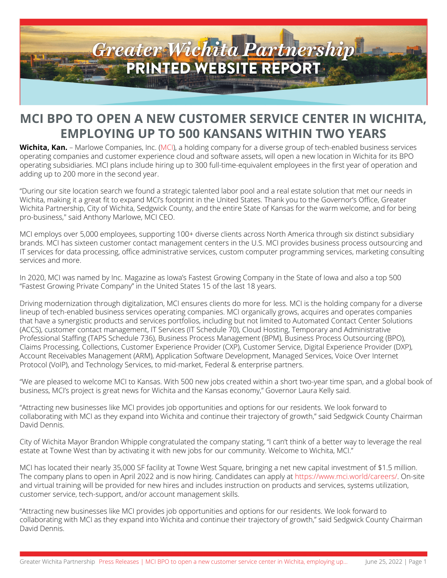

## **MCI BPO TO OPEN A NEW CUSTOMER SERVICE CENTER IN WICHITA, EMPLOYING UP TO 500 KANSANS WITHIN TWO YEARS**

**Wichita, Kan.** – Marlowe Companies, Inc. ([MCI](http://www.mci.world)), a holding company for a diverse group of tech-enabled business services operating companies and customer experience cloud and software assets, will open a new location in Wichita for its BPO operating subsidiaries. MCI plans include hiring up to 300 full-time-equivalent employees in the first year of operation and adding up to 200 more in the second year.

"During our site location search we found a strategic talented labor pool and a real estate solution that met our needs in Wichita, making it a great fit to expand MCI's footprint in the United States. Thank you to the Governor's Office, Greater Wichita Partnership, City of Wichita, Sedgwick County, and the entire State of Kansas for the warm welcome, and for being pro-business," said Anthony Marlowe, MCI CEO.

MCI employs over 5,000 employees, supporting 100+ diverse clients across North America through six distinct subsidiary brands. MCI has sixteen customer contact management centers in the U.S. MCI provides business process outsourcing and IT services for data processing, office administrative services, custom computer programming services, marketing consulting services and more.

In 2020, MCI was named by Inc. Magazine as Iowa's Fastest Growing Company in the State of Iowa and also a top 500 "Fastest Growing Private Company" in the United States 15 of the last 18 years.

Driving modernization through digitalization, MCI ensures clients do more for less. MCI is the holding company for a diverse lineup of tech-enabled business services operating companies. MCI organically grows, acquires and operates companies that have a synergistic products and services portfolios, including but not limited to Automated Contact Center Solutions (ACCS), customer contact management, IT Services (IT Schedule 70), Cloud Hosting, Temporary and Administrative Professional Staffing (TAPS Schedule 736), Business Process Management (BPM), Business Process Outsourcing (BPO), Claims Processing, Collections, Customer Experience Provider (CXP), Customer Service, Digital Experience Provider (DXP), Account Receivables Management (ARM), Application Software Development, Managed Services, Voice Over Internet Protocol (VoIP), and Technology Services, to mid-market, Federal & enterprise partners.

"We are pleased to welcome MCI to Kansas. With 500 new jobs created within a short two-year time span, and a global book of business, MCI's project is great news for Wichita and the Kansas economy," Governor Laura Kelly said.

"Attracting new businesses like MCI provides job opportunities and options for our residents. We look forward to collaborating with MCI as they expand into Wichita and continue their trajectory of growth," said Sedgwick County Chairman David Dennis.

City of Wichita Mayor Brandon Whipple congratulated the company stating, "I can't think of a better way to leverage the real estate at Towne West than by activating it with new jobs for our community. Welcome to Wichita, MCI."

MCI has located their nearly 35,000 SF facility at Towne West Square, bringing a net new capital investment of \$1.5 million. The company plans to open in April 2022 and is now hiring. Candidates can apply at<https://www.mci.world/careers/>. On-site and virtual training will be provided for new hires and includes instruction on products and services, systems utilization, customer service, tech-support, and/or account management skills.

"Attracting new businesses like MCI provides job opportunities and options for our residents. We look forward to collaborating with MCI as they expand into Wichita and continue their trajectory of growth," said Sedgwick County Chairman David Dennis.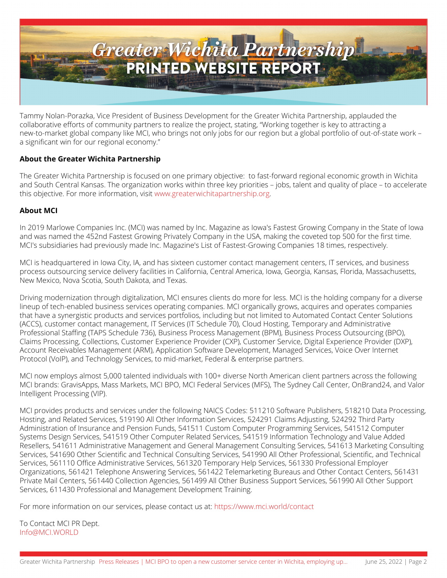

Tammy Nolan-Porazka, Vice President of Business Development for the Greater Wichita Partnership, applauded the collaborative efforts of community partners to realize the project, stating, "Working together is key to attracting a new-to-market global company like MCI, who brings not only jobs for our region but a global portfolio of out-of-state work – a significant win for our regional economy."

## **About the Greater Wichita Partnership**

*The Greater Wichita Partnership is focused on one primary objective: to fast-forward regional economic growth in Wichita and South Central Kansas. The organization works within three key priorities – jobs, talent and quality of place – to accelerate this objective. For more information, visi[t www.greaterwichitapartnership.org](http://www.greaterwichitapartnership.org/).*

## **About MCI**

*In 2019 Marlowe Companies Inc. (MCI) was named by Inc. Magazine as Iowa's Fastest Growing Company in the State of Iowa and was named the 452nd Fastest Growing Privately Company in the USA, making the coveted top 500 for the first time. MCI's subsidiaries had previously made Inc. Magazine's List of Fastest-Growing Companies 18 times, respectively.*

*MCI is headquartered in Iowa City, IA, and has sixteen customer contact management centers, IT services, and business process outsourcing service delivery facilities in California, Central America, Iowa, Georgia, Kansas, Florida, Massachusetts, New Mexico, Nova Scotia, South Dakota, and Texas.*

*Driving modernization through digitalization, MCI ensures clients do more for less. MCI is the holding company for a diverse lineup of tech-enabled business services operating companies. MCI organically grows, acquires and operates companies that have a synergistic products and services portfolios, including but not limited to Automated Contact Center Solutions (ACCS), customer contact management, IT Services (IT Schedule 70), Cloud Hosting, Temporary and Administrative Professional Staffing (TAPS Schedule 736), Business Process Management (BPM), Business Process Outsourcing (BPO), Claims Processing, Collections, Customer Experience Provider (CXP), Customer Service, Digital Experience Provider (DXP), Account Receivables Management (ARM), Application Software Development, Managed Services, Voice Over Internet Protocol (VoIP), and Technology Services, to mid-market, Federal & enterprise partners.*

*MCI now employs almost 5,000 talented individuals with 100+ diverse North American client partners across the following MCI brands: GravisApps, Mass Markets, MCI BPO, MCI Federal Services (MFS), The Sydney Call Center, OnBrand24, and Valor Intelligent Processing (VIP).*

*MCI provides products and services under the following NAICS Codes: 511210 Software Publishers, 518210 Data Processing, Hosting, and Related Services, 519190 All Other Information Services, 524291 Claims Adjusting, 524292 Third Party Administration of Insurance and Pension Funds, 541511 Custom Computer Programming Services, 541512 Computer Systems Design Services, 541519 Other Computer Related Services, 541519 Information Technology and Value Added Resellers, 541611 Administrative Management and General Management Consulting Services, 541613 Marketing Consulting Services, 541690 Other Scientific and Technical Consulting Services, 541990 All Other Professional, Scientific, and Technical Services, 561110 Office Administrative Services, 561320 Temporary Help Services, 561330 Professional Employer Organizations, 561421 Telephone Answering Services, 561422 Telemarketing Bureaus and Other Contact Centers, 561431 Private Mail Centers, 561440 Collection Agencies, 561499 All Other Business Support Services, 561990 All Other Support Services, 611430 Professional and Management Development Training.*

*For more information on our services, please contact us at: [https://www.mci.world/contact](https://www.globenewswire.com/Tracker?data=gBWJeEzObXyRmdmajuxFAgwDPAZcxz7DvpuoA6v7VjcLGQHtEXkiqiF26Q9E-d8AIzKaf-vIL7YuH4Hq_3JZ4zyFQaY50sY1ZVNdfZloZqU=)*

*To Contact MCI PR Dept. [Info@MCI.WORLD](mailto:Info@MCI.WORLD)*